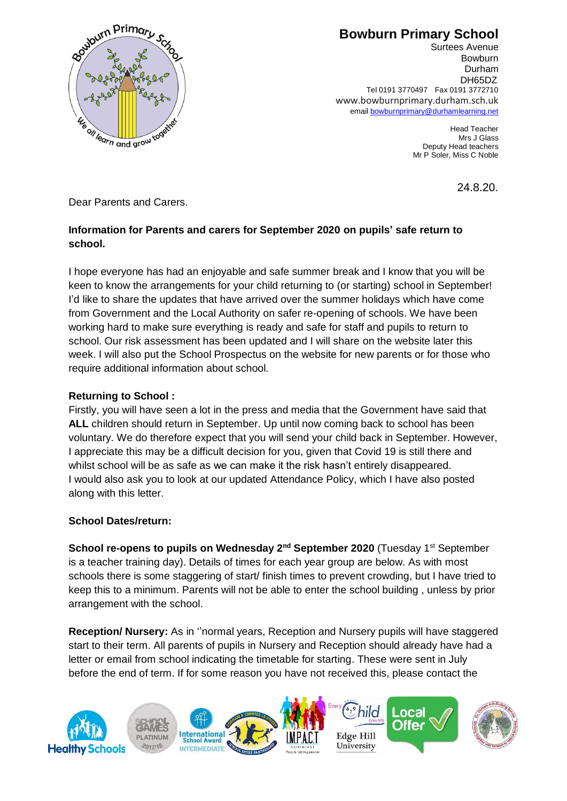

Surtees Avenue Bowburn Durham DH65DZ Tel 0191 3770497 Fax 0191 3772710 www.bowburnprimary.durham.sch.uk email [bowburnprimary@durhamlearning.net](mailto:bowburnjuniors@durhamlearning.net)

> Head Teacher Mrs J Glass Deputy Head teachers Mr P Soler, Miss C Noble

> > 24.8.20.

Dear Parents and Carers.

## **Information for Parents and carers for September 2020 on pupils' safe return to school.**

I hope everyone has had an enjoyable and safe summer break and I know that you will be keen to know the arrangements for your child returning to (or starting) school in September! I'd like to share the updates that have arrived over the summer holidays which have come from Government and the Local Authority on safer re-opening of schools. We have been working hard to make sure everything is ready and safe for staff and pupils to return to school. Our risk assessment has been updated and I will share on the website later this week. I will also put the School Prospectus on the website for new parents or for those who require additional information about school.

## **Returning to School :**

Firstly, you will have seen a lot in the press and media that the Government have said that **ALL** children should return in September. Up until now coming back to school has been voluntary. We do therefore expect that you will send your child back in September. However, I appreciate this may be a difficult decision for you, given that Covid 19 is still there and whilst school will be as safe as we can make it the risk hasn't entirely disappeared. I would also ask you to look at our updated Attendance Policy, which I have also posted along with this letter.

### **School Dates/return:**

**School re-opens to pupils on Wednesday 2nd September 2020** (Tuesday 1st September is a teacher training day). Details of times for each year group are below. As with most schools there is some staggering of start/ finish times to prevent crowding, but I have tried to keep this to a minimum. Parents will not be able to enter the school building , unless by prior arrangement with the school.

**Reception/ Nursery:** As in ''normal years, Reception and Nursery pupils will have staggered start to their term. All parents of pupils in Nursery and Reception should already have had a letter or email from school indicating the timetable for starting. These were sent in July before the end of term. If for some reason you have not received this, please contact the

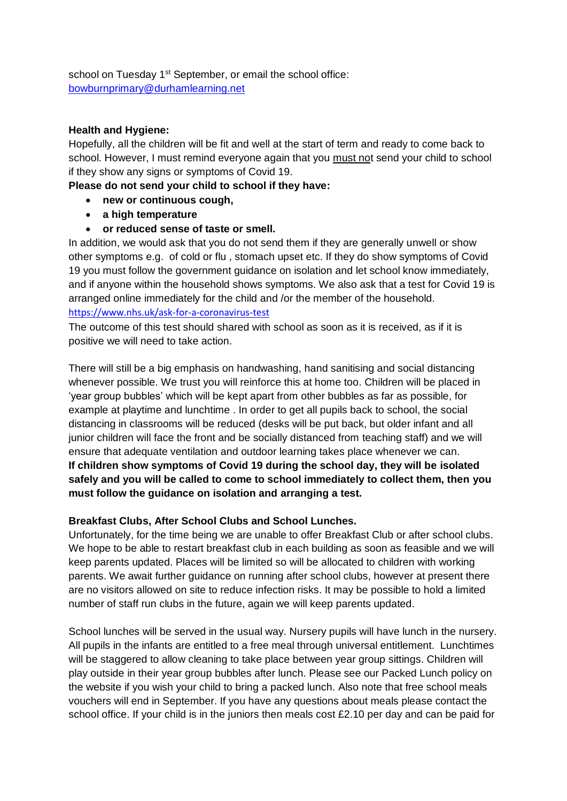school on Tuesday 1<sup>st</sup> September, or email the school office: [bowburnprimary@durhamlearning.net](mailto:bowburnprimary@durhamlearning.net)

#### **Health and Hygiene:**

Hopefully, all the children will be fit and well at the start of term and ready to come back to school. However, I must remind everyone again that you must not send your child to school if they show any signs or symptoms of Covid 19.

**Please do not send your child to school if they have:**

- **new or continuous cough,**
- **a high temperature**
- **or reduced sense of taste or smell.**

In addition, we would ask that you do not send them if they are generally unwell or show other symptoms e.g. of cold or flu , stomach upset etc. If they do show symptoms of Covid 19 you must follow the government guidance on isolation and let school know immediately, and if anyone within the household shows symptoms. We also ask that a test for Covid 19 is arranged online immediately for the child and /or the member of the household. <https://www.nhs.uk/ask-for-a-coronavirus-test>

The outcome of this test should shared with school as soon as it is received, as if it is positive we will need to take action.

There will still be a big emphasis on handwashing, hand sanitising and social distancing whenever possible. We trust you will reinforce this at home too. Children will be placed in 'year group bubbles' which will be kept apart from other bubbles as far as possible, for example at playtime and lunchtime . In order to get all pupils back to school, the social distancing in classrooms will be reduced (desks will be put back, but older infant and all junior children will face the front and be socially distanced from teaching staff) and we will ensure that adequate ventilation and outdoor learning takes place whenever we can. **If children show symptoms of Covid 19 during the school day, they will be isolated safely and you will be called to come to school immediately to collect them, then you must follow the guidance on isolation and arranging a test.** 

### **Breakfast Clubs, After School Clubs and School Lunches.**

Unfortunately, for the time being we are unable to offer Breakfast Club or after school clubs. We hope to be able to restart breakfast club in each building as soon as feasible and we will keep parents updated. Places will be limited so will be allocated to children with working parents. We await further guidance on running after school clubs, however at present there are no visitors allowed on site to reduce infection risks. It may be possible to hold a limited number of staff run clubs in the future, again we will keep parents updated.

School lunches will be served in the usual way. Nursery pupils will have lunch in the nursery. All pupils in the infants are entitled to a free meal through universal entitlement. Lunchtimes will be staggered to allow cleaning to take place between year group sittings. Children will play outside in their year group bubbles after lunch. Please see our Packed Lunch policy on the website if you wish your child to bring a packed lunch. Also note that free school meals vouchers will end in September. If you have any questions about meals please contact the school office. If your child is in the juniors then meals cost £2.10 per day and can be paid for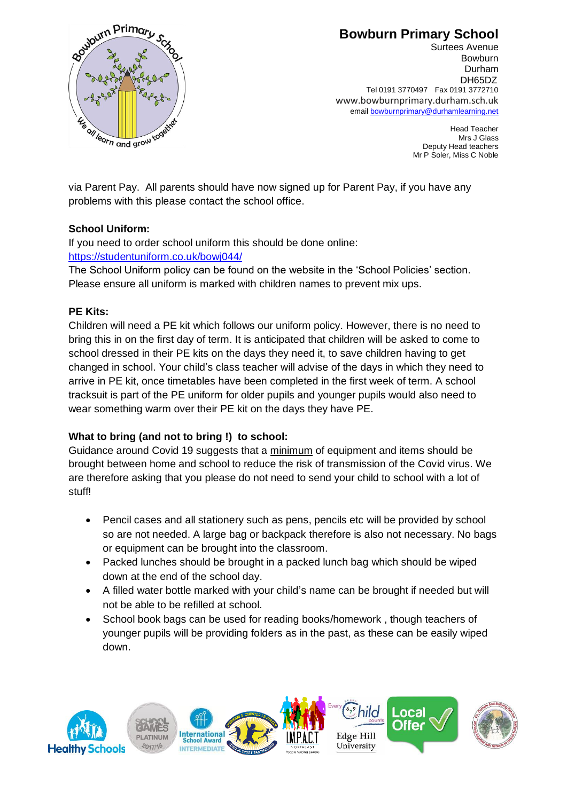

Surtees Avenue Bowburn Durham DH65DZ Tel 0191 3770497 Fax 0191 3772710 www.bowburnprimary.durham.sch.uk email [bowburnprimary@durhamlearning.net](mailto:bowburnjuniors@durhamlearning.net)

> Head Teacher Mrs J Glass Deputy Head teachers Mr P Soler, Miss C Noble

via Parent Pay. All parents should have now signed up for Parent Pay, if you have any problems with this please contact the school office.

## **School Uniform:**

If you need to order school uniform this should be done online: <https://studentuniform.co.uk/bowj044/>

The School Uniform policy can be found on the website in the 'School Policies' section. Please ensure all uniform is marked with children names to prevent mix ups.

### **PE Kits:**

Children will need a PE kit which follows our uniform policy. However, there is no need to bring this in on the first day of term. It is anticipated that children will be asked to come to school dressed in their PE kits on the days they need it, to save children having to get changed in school. Your child's class teacher will advise of the days in which they need to arrive in PE kit, once timetables have been completed in the first week of term. A school tracksuit is part of the PE uniform for older pupils and younger pupils would also need to wear something warm over their PE kit on the days they have PE.

## **What to bring (and not to bring !) to school:**

Guidance around Covid 19 suggests that a minimum of equipment and items should be brought between home and school to reduce the risk of transmission of the Covid virus. We are therefore asking that you please do not need to send your child to school with a lot of stuff!

- Pencil cases and all stationery such as pens, pencils etc will be provided by school so are not needed. A large bag or backpack therefore is also not necessary. No bags or equipment can be brought into the classroom.
- Packed lunches should be brought in a packed lunch bag which should be wiped down at the end of the school day.
- A filled water bottle marked with your child's name can be brought if needed but will not be able to be refilled at school.
- School book bags can be used for reading books/homework , though teachers of younger pupils will be providing folders as in the past, as these can be easily wiped down.

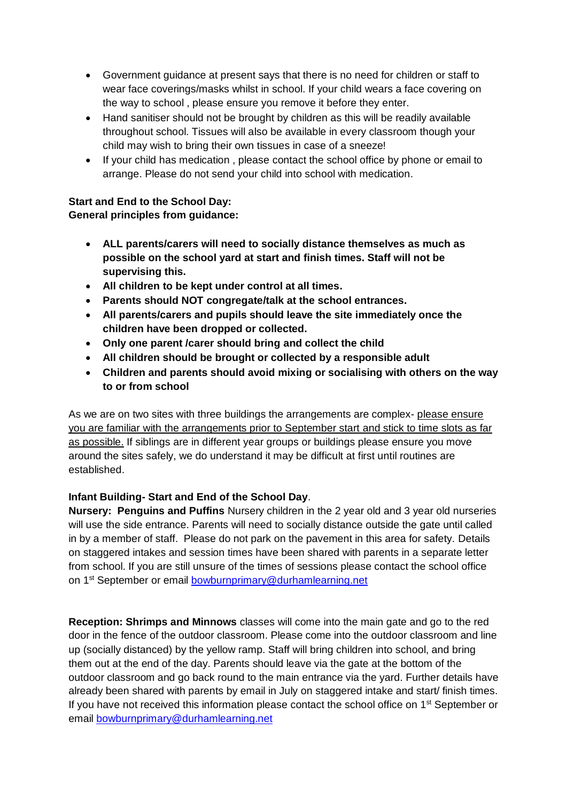- Government guidance at present says that there is no need for children or staff to wear face coverings/masks whilst in school. If your child wears a face covering on the way to school , please ensure you remove it before they enter.
- Hand sanitiser should not be brought by children as this will be readily available throughout school. Tissues will also be available in every classroom though your child may wish to bring their own tissues in case of a sneeze!
- If your child has medication , please contact the school office by phone or email to arrange. Please do not send your child into school with medication.

### **Start and End to the School Day:**

### **General principles from guidance:**

- **ALL parents/carers will need to socially distance themselves as much as possible on the school yard at start and finish times. Staff will not be supervising this.**
- **All children to be kept under control at all times.**
- **Parents should NOT congregate/talk at the school entrances.**
- **All parents/carers and pupils should leave the site immediately once the children have been dropped or collected.**
- **Only one parent /carer should bring and collect the child**
- **All children should be brought or collected by a responsible adult**
- **Children and parents should avoid mixing or socialising with others on the way to or from school**

As we are on two sites with three buildings the arrangements are complex- please ensure you are familiar with the arrangements prior to September start and stick to time slots as far as possible. If siblings are in different year groups or buildings please ensure you move around the sites safely, we do understand it may be difficult at first until routines are established.

### **Infant Building- Start and End of the School Day**.

**Nursery: Penguins and Puffins** Nursery children in the 2 year old and 3 year old nurseries will use the side entrance. Parents will need to socially distance outside the gate until called in by a member of staff. Please do not park on the pavement in this area for safety. Details on staggered intakes and session times have been shared with parents in a separate letter from school. If you are still unsure of the times of sessions please contact the school office on 1<sup>st</sup> September or email [bowburnprimary@durhamlearning.net](mailto:bowburnprimary@durhamlearning.net)

**Reception: Shrimps and Minnows** classes will come into the main gate and go to the red door in the fence of the outdoor classroom. Please come into the outdoor classroom and line up (socially distanced) by the yellow ramp. Staff will bring children into school, and bring them out at the end of the day. Parents should leave via the gate at the bottom of the outdoor classroom and go back round to the main entrance via the yard. Further details have already been shared with parents by email in July on staggered intake and start/ finish times. If you have not received this information please contact the school office on  $1<sup>st</sup>$  September or email [bowburnprimary@durhamlearning.net](mailto:bowburnprimary@durhamlearning.net)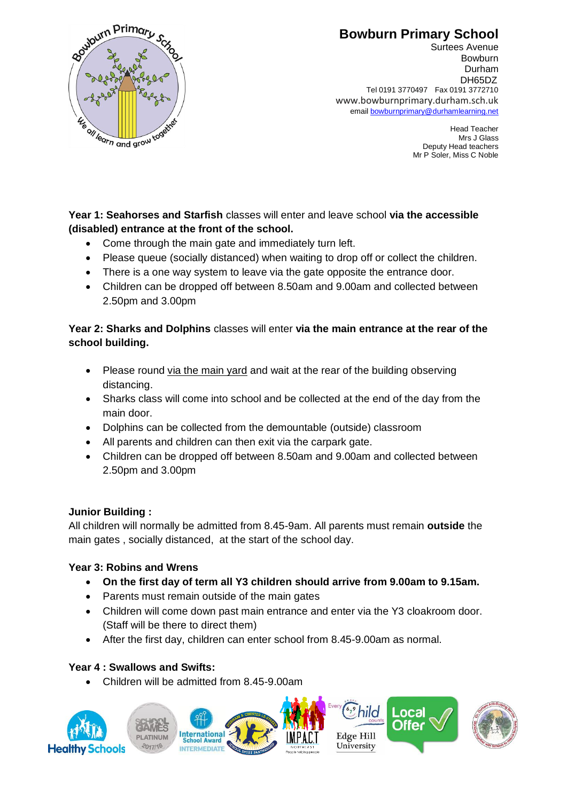

Head Teacher Mrs J Glass Deputy Head teachers Mr P Soler, Miss C Noble

**Year 1: Seahorses and Starfish** classes will enter and leave school **via the accessible (disabled) entrance at the front of the school.** 

- Come through the main gate and immediately turn left.
- Please queue (socially distanced) when waiting to drop off or collect the children.
- There is a one way system to leave via the gate opposite the entrance door.
- Children can be dropped off between 8.50am and 9.00am and collected between 2.50pm and 3.00pm

### **Year 2: Sharks and Dolphins** classes will enter **via the main entrance at the rear of the school building.**

- Please round via the main yard and wait at the rear of the building observing distancing.
- Sharks class will come into school and be collected at the end of the day from the main door.
- Dolphins can be collected from the demountable (outside) classroom
- All parents and children can then exit via the carpark gate.
- Children can be dropped off between 8.50am and 9.00am and collected between 2.50pm and 3.00pm

### **Junior Building :**

All children will normally be admitted from 8.45-9am. All parents must remain **outside** the main gates , socially distanced, at the start of the school day.

### **Year 3: Robins and Wrens**

- **On the first day of term all Y3 children should arrive from 9.00am to 9.15am.**
- Parents must remain outside of the main gates
- Children will come down past main entrance and enter via the Y3 cloakroom door. (Staff will be there to direct them)
- After the first day, children can enter school from 8.45-9.00am as normal.

### **Year 4 : Swallows and Swifts:**

• Children will be admitted from 8.45-9.00am



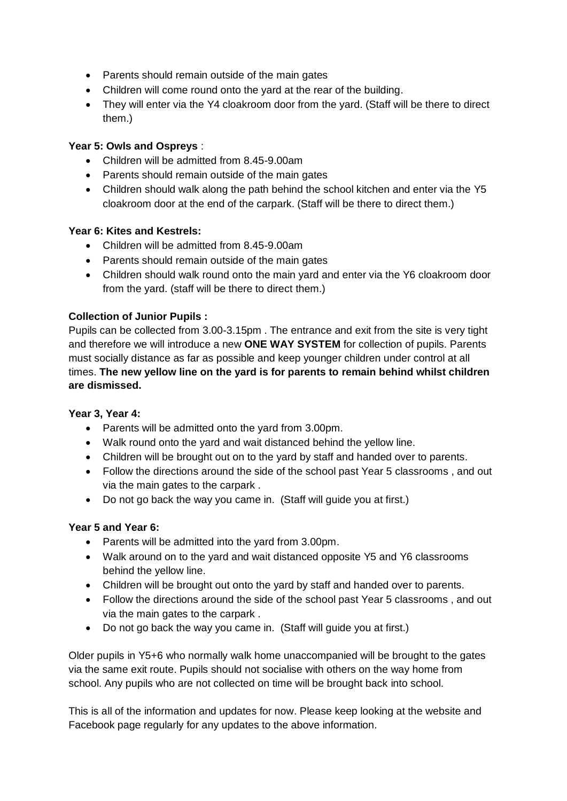- Parents should remain outside of the main gates
- Children will come round onto the yard at the rear of the building.
- They will enter via the Y4 cloakroom door from the yard. (Staff will be there to direct them.)

### **Year 5: Owls and Ospreys** :

- Children will be admitted from 8.45-9.00am
- Parents should remain outside of the main gates
- Children should walk along the path behind the school kitchen and enter via the Y5 cloakroom door at the end of the carpark. (Staff will be there to direct them.)

### **Year 6: Kites and Kestrels:**

- Children will be admitted from 8.45-9.00am
- Parents should remain outside of the main gates
- Children should walk round onto the main yard and enter via the Y6 cloakroom door from the yard. (staff will be there to direct them.)

### **Collection of Junior Pupils :**

Pupils can be collected from 3.00-3.15pm . The entrance and exit from the site is very tight and therefore we will introduce a new **ONE WAY SYSTEM** for collection of pupils. Parents must socially distance as far as possible and keep younger children under control at all times. **The new yellow line on the yard is for parents to remain behind whilst children are dismissed.**

#### **Year 3, Year 4:**

- Parents will be admitted onto the yard from 3.00pm.
- Walk round onto the yard and wait distanced behind the yellow line.
- Children will be brought out on to the yard by staff and handed over to parents.
- Follow the directions around the side of the school past Year 5 classrooms , and out via the main gates to the carpark .
- Do not go back the way you came in. (Staff will guide you at first.)

#### **Year 5 and Year 6:**

- Parents will be admitted into the yard from 3.00pm.
- Walk around on to the yard and wait distanced opposite Y5 and Y6 classrooms behind the yellow line.
- Children will be brought out onto the yard by staff and handed over to parents.
- Follow the directions around the side of the school past Year 5 classrooms, and out via the main gates to the carpark .
- Do not go back the way you came in. (Staff will guide you at first.)

Older pupils in Y5+6 who normally walk home unaccompanied will be brought to the gates via the same exit route. Pupils should not socialise with others on the way home from school. Any pupils who are not collected on time will be brought back into school.

This is all of the information and updates for now. Please keep looking at the website and Facebook page regularly for any updates to the above information.